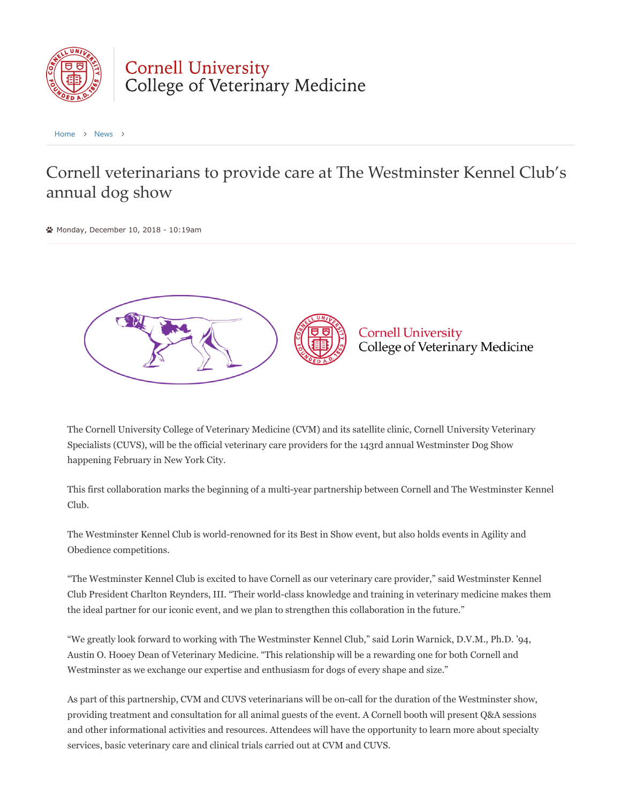

## Cornell University<br>College of Veterinary Medicine

[Home](https://www2.vet.cornell.edu/) > [News](https://www2.vet.cornell.edu/news) >

## Cornell veterinarians to provide care at The Westminster Kennel Club's annual dog show

Monday, December 10, 2018 - 10:19am



The Cornell University College of Veterinary Medicine (CVM) and its satellite clinic, Cornell University Veterinary Specialists (CUVS), will be the official veterinary care providers for the 143rd annual Westminster Dog Show happening February in New York City.

This first collaboration marks the beginning of a multi-year partnership between Cornell and The Westminster Kennel Club.

The Westminster Kennel Club is world-renowned for its Best in Show event, but also holds events in Agility and Obedience competitions.

"The Westminster Kennel Club is excited to have Cornell as our veterinary care provider," said Westminster Kennel Club President Charlton Reynders, III. "Their world-class knowledge and training in veterinary medicine makes them the ideal partner for our iconic event, and we plan to strengthen this collaboration in the future."

"We greatly look forward to working with The Westminster Kennel Club," said Lorin Warnick, D.V.M., Ph.D. '94, Austin O. Hooey Dean of Veterinary Medicine. "This relationship will be a rewarding one for both Cornell and Westminster as we exchange our expertise and enthusiasm for dogs of every shape and size."

As part of this partnership, CVM and CUVS veterinarians will be on-call for the duration of the Westminster show, providing treatment and consultation for all animal guests of the event. A Cornell booth will present Q&A sessions and other informational activities and resources. Attendees will have the opportunity to learn more about specialty services, basic veterinary care and clinical trials carried out at CVM and CUVS.